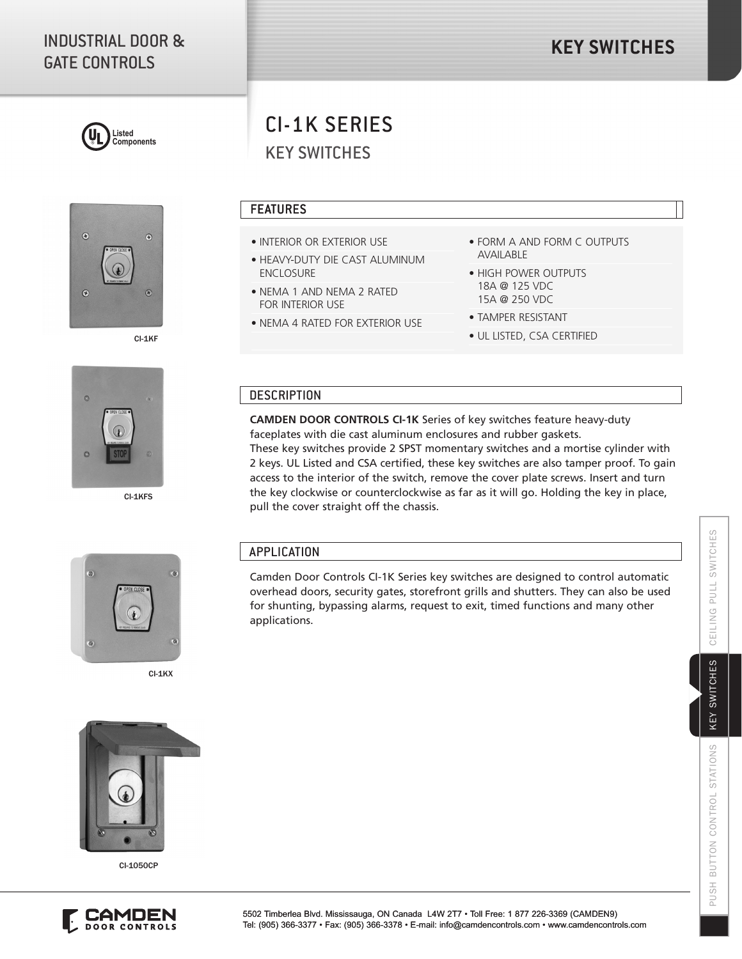## INDUSTRIAL DOOR & GATE CONTROLS





CI-1KF



CI-1KFS

# KEY SWITCHES CI-1K SERIES

#### FEATURES

- INTERIOR OR EXTERIOR USE
- HEAVY-DUTY DIE CAST ALUMINUM ENCLOSURE
- NEMA 1 AND NEMA 2 RATED FOR INTERIOR USE
- NEMA 4 RATED FOR EXTERIOR USE

pull the cover straight off the chassis.

- FORM A AND FORM C OUTPUTS AVAILABLE
- HIGH POWER OUTPUTS 18A @ 125 VDC 15A @ 250 VDC
- TAMPER RESISTANT
- UL LISTED, CSA CERTIFIED

#### **DESCRIPTION**

**CAMDEN DOOR CONTROLS CI-1K** Series of key switches feature heavy-duty faceplates with die cast aluminum enclosures and rubber gaskets. These key switches provide 2 SPST momentary switches and a mortise cylinder with 2 keys. UL Listed and CSA certified, these key switches are also tamper proof. To gain access to the interior of the switch, remove the cover plate screws. Insert and turn the key clockwise or counterclockwise as far as it will go. Holding the key in place,

 $\overline{\mathcal{L}}$  $\odot$ 

CI-1KX

### APPLICATION

Camden Door Controls CI-1K Series key switches are designed to control automatic overhead doors, security gates, storefront grills and shutters. They can also be used for shunting, bypassing alarms, request to exit, timed functions and many other applications.



CI-1050CP



KEY